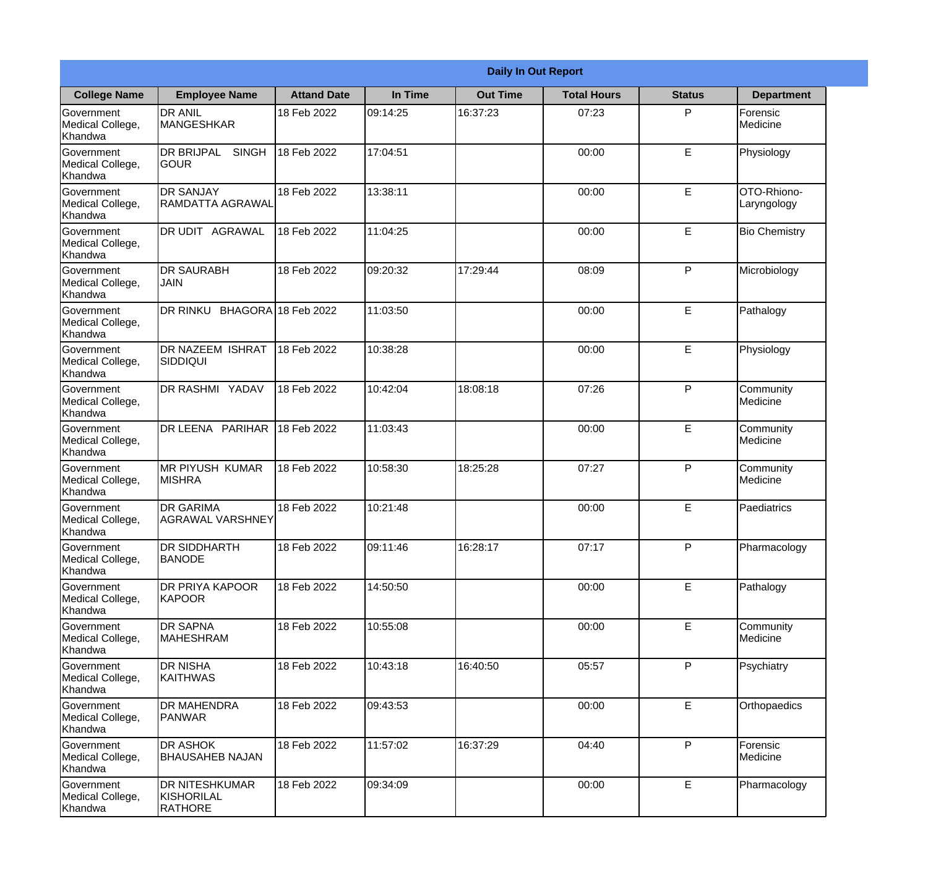|                                                  | <b>Daily In Out Report</b>                            |                    |          |                 |                    |               |                            |  |
|--------------------------------------------------|-------------------------------------------------------|--------------------|----------|-----------------|--------------------|---------------|----------------------------|--|
| <b>College Name</b>                              | <b>Employee Name</b>                                  | <b>Attand Date</b> | In Time  | <b>Out Time</b> | <b>Total Hours</b> | <b>Status</b> | <b>Department</b>          |  |
| Government<br>Medical College,<br>Khandwa        | <b>DR ANIL</b><br><b>MANGESHKAR</b>                   | 18 Feb 2022        | 09:14:25 | 16:37:23        | 07:23              | P             | Forensic<br>Medicine       |  |
| Government<br>Medical College,<br>Khandwa        | <b>DR BRIJPAL</b><br><b>SINGH</b><br> GOUR            | 18 Feb 2022        | 17:04:51 |                 | 00:00              | E             | Physiology                 |  |
| <b>Government</b><br>Medical College,<br>Khandwa | <b>IDR SANJAY</b><br>RAMDATTA AGRAWAL                 | 18 Feb 2022        | 13:38:11 |                 | 00:00              | E             | OTO-Rhiono-<br>Laryngology |  |
| Government<br>Medical College,<br>Khandwa        | DR UDIT AGRAWAL                                       | 18 Feb 2022        | 11:04:25 |                 | 00:00              | E             | <b>Bio Chemistry</b>       |  |
| Government<br>Medical College,<br>Khandwa        | <b>DR SAURABH</b><br><b>JAIN</b>                      | 18 Feb 2022        | 09:20:32 | 17:29:44        | 08:09              | P             | Microbiology               |  |
| Government<br>Medical College,<br>Khandwa        | DR RINKU BHAGORA 18 Feb 2022                          |                    | 11:03:50 |                 | 00:00              | E             | Pathalogy                  |  |
| Government<br>Medical College,<br>Khandwa        | <b>DR NAZEEM ISHRAT</b><br>SIDDIQUI                   | 18 Feb 2022        | 10:38:28 |                 | 00:00              | E             | Physiology                 |  |
| Government<br>Medical College,<br>Khandwa        | DR RASHMI YADAV                                       | 18 Feb 2022        | 10:42:04 | 18:08:18        | 07:26              | P             | Community<br>Medicine      |  |
| Government<br>Medical College,<br>Khandwa        | <b>DR LEENA PARIHAR</b>                               | 18 Feb 2022        | 11:03:43 |                 | 00:00              | E             | Community<br>Medicine      |  |
| Government<br>Medical College,<br>Khandwa        | <b>MR PIYUSH KUMAR</b><br><b>MISHRA</b>               | 18 Feb 2022        | 10:58:30 | 18:25:28        | 07:27              | P             | Community<br>Medicine      |  |
| Government<br>Medical College,<br>Khandwa        | <b>DR GARIMA</b><br>AGRAWAL VARSHNEY                  | 18 Feb 2022        | 10:21:48 |                 | 00:00              | E             | Paediatrics                |  |
| Government<br>Medical College,<br>Khandwa        | <b>DR SIDDHARTH</b><br><b>BANODE</b>                  | 18 Feb 2022        | 09:11:46 | 16:28:17        | 07:17              | P             | Pharmacology               |  |
| Government<br>Medical College,<br>Khandwa        | <b>DR PRIYA KAPOOR</b><br>KAPOOR                      | 18 Feb 2022        | 14:50:50 |                 | 00:00              | E             | Pathalogy                  |  |
| Government<br>Medical College,<br>Khandwa        | <b>DR SAPNA</b><br><b>MAHESHRAM</b>                   | 18 Feb 2022        | 10:55:08 |                 | 00:00              | E             | Community<br>Medicine      |  |
| Government<br>Medical College,<br>Khandwa        | <b>DR NISHA</b><br><b>KAITHWAS</b>                    | 18 Feb 2022        | 10:43:18 | 16:40:50        | 05:57              | $\mathsf{P}$  | Psychiatry                 |  |
| Government<br>Medical College,<br>Khandwa        | <b>DR MAHENDRA</b><br><b>PANWAR</b>                   | 18 Feb 2022        | 09:43:53 |                 | 00:00              | $\mathsf E$   | Orthopaedics               |  |
| Government<br>Medical College,<br>Khandwa        | <b>DR ASHOK</b><br><b>BHAUSAHEB NAJAN</b>             | 18 Feb 2022        | 11:57:02 | 16:37:29        | 04:40              | P             | Forensic<br>Medicine       |  |
| Government<br>Medical College,<br>Khandwa        | <b>DR NITESHKUMAR</b><br>KISHORILAL<br><b>RATHORE</b> | 18 Feb 2022        | 09:34:09 |                 | 00:00              | E             | Pharmacology               |  |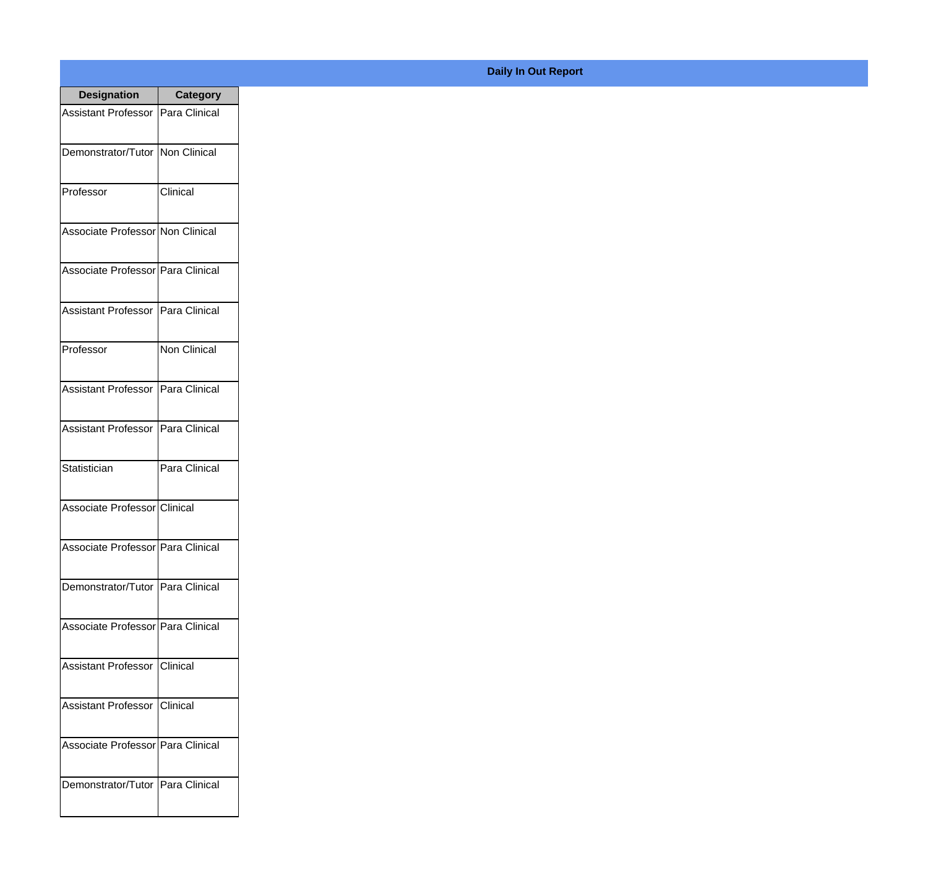| <b>Designation</b>                  | <b>Category</b> |
|-------------------------------------|-----------------|
| Assistant Professor   Para Clinical |                 |
| Demonstrator/Tutor   Non Clinical   |                 |
| Professor                           | Clinical        |
| Associate Professor Non Clinical    |                 |
| Associate Professor Para Clinical   |                 |
| <b>Assistant Professor</b>          | Para Clinical   |
| Professor                           | Non Clinical    |
| Assistant Professor   Para Clinical |                 |
| Assistant Professor   Para Clinical |                 |
| Statistician                        | Para Clinical   |
| Associate Professor Clinical        |                 |
| Associate Professor Para Clinical   |                 |
| Demonstrator/Tutor   Para Clinical  |                 |
| Associate Professor   Para Clinical |                 |
| Assistant Professor   Clinical      |                 |
| <b>Assistant Professor</b>          | Clinical        |
| Associate Professor   Para Clinical |                 |
| Demonstrator/Tutor   Para Clinical  |                 |

## **Daily In Out Report**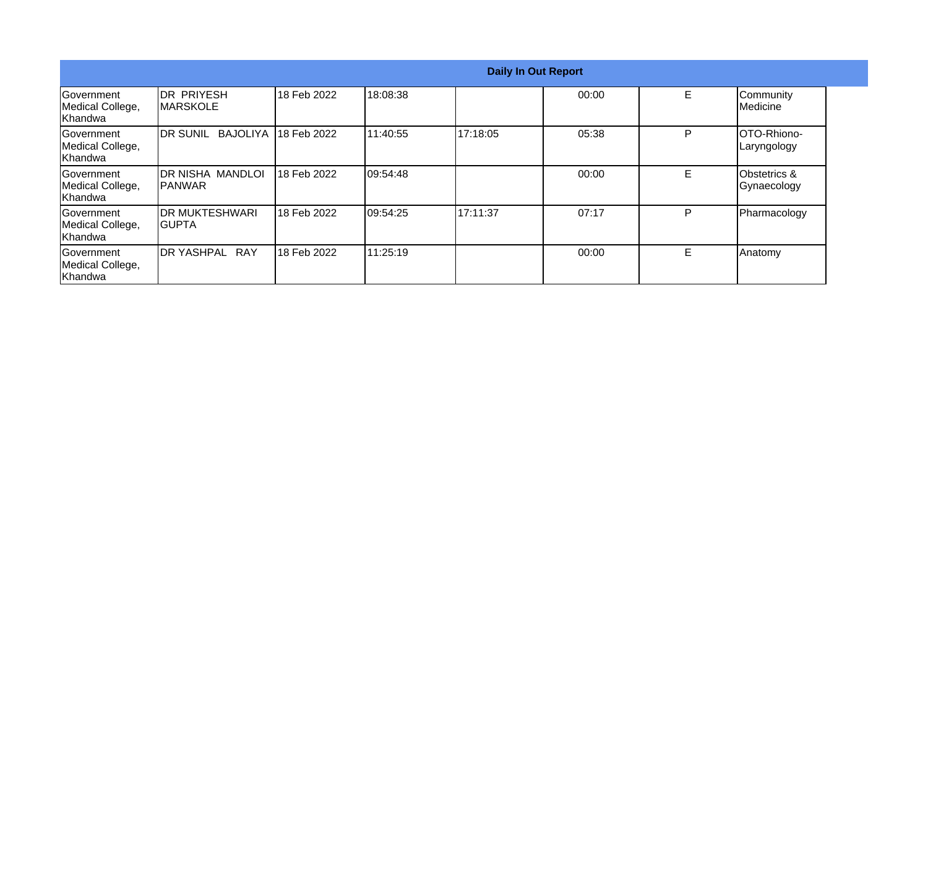|                                                  | <b>Daily In Out Report</b>            |             |           |          |       |   |                                        |
|--------------------------------------------------|---------------------------------------|-------------|-----------|----------|-------|---|----------------------------------------|
| Government<br>Medical College,<br>Khandwa        | <b>DR PRIYESH</b><br><b>IMARSKOLE</b> | 18 Feb 2022 | 18:08:38  |          | 00:00 | E | Community<br>Medicine                  |
| Government<br>Medical College,<br>Khandwa        | <b>IDR SUNIL</b><br><b>BAJOLIYA</b>   | 18 Feb 2022 | 111:40:55 | 17:18:05 | 05:38 | P | OTO-Rhiono-<br>Laryngology             |
| <b>Sovernment</b><br>Medical College,<br>Khandwa | IDR NISHA MANDLOI<br>IPANWAR          | 18 Feb 2022 | 09:54:48  |          | 00:00 | E | <b>Obstetrics &amp;</b><br>Gynaecology |
| Government<br>Medical College,<br>Khandwa        | <b>IDR MUKTESHWARI</b><br>IGUPTA      | 18 Feb 2022 | 109:54:25 | 17:11:37 | 07:17 | P | Pharmacology                           |
| Government<br>Medical College,<br>Khandwa        | IDR YASHPAL RAY                       | 18 Feb 2022 | 111:25:19 |          | 00:00 | E | Anatomy                                |